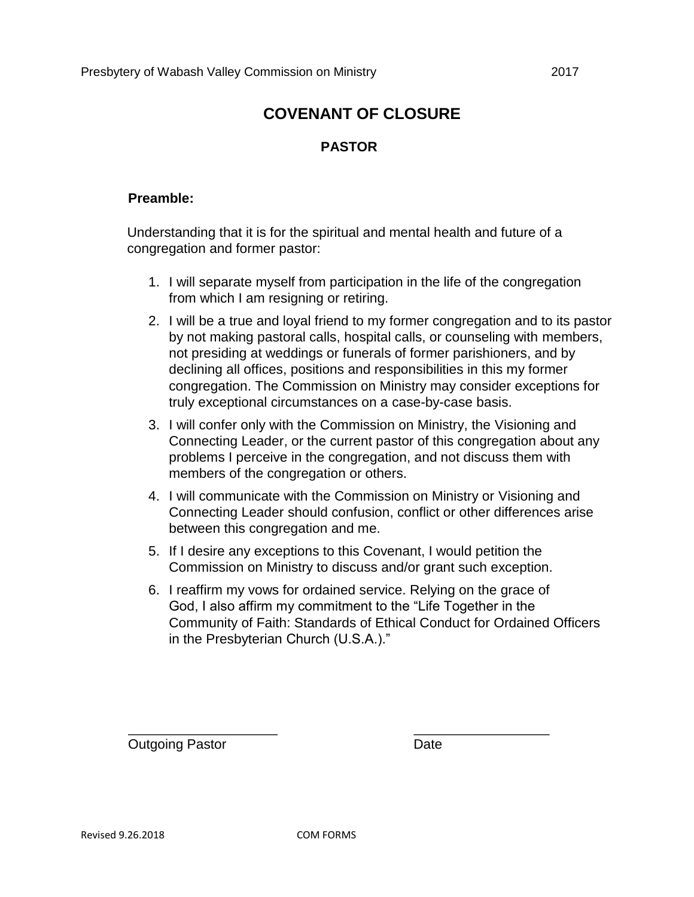## **COVENANT OF CLOSURE**

### **PASTOR**

#### **Preamble:**

Understanding that it is for the spiritual and mental health and future of a congregation and former pastor:

- 1. I will separate myself from participation in the life of the congregation from which I am resigning or retiring.
- 2. I will be a true and loyal friend to my former congregation and to its pastor by not making pastoral calls, hospital calls, or counseling with members, not presiding at weddings or funerals of former parishioners, and by declining all offices, positions and responsibilities in this my former congregation. The Commission on Ministry may consider exceptions for truly exceptional circumstances on a case-by-case basis.
- 3. I will confer only with the Commission on Ministry, the Visioning and Connecting Leader, or the current pastor of this congregation about any problems I perceive in the congregation, and not discuss them with members of the congregation or others.
- 4. I will communicate with the Commission on Ministry or Visioning and Connecting Leader should confusion, conflict or other differences arise between this congregation and me.
- 5. If I desire any exceptions to this Covenant, I would petition the Commission on Ministry to discuss and/or grant such exception.
- 6. I reaffirm my vows for ordained service. Relying on the grace of God, I also affirm my commitment to the "Life Together in the Community of Faith: Standards of Ethical Conduct for Ordained Officers in the Presbyterian Church (U.S.A.)."

**Outgoing Pastor** Date **Date**